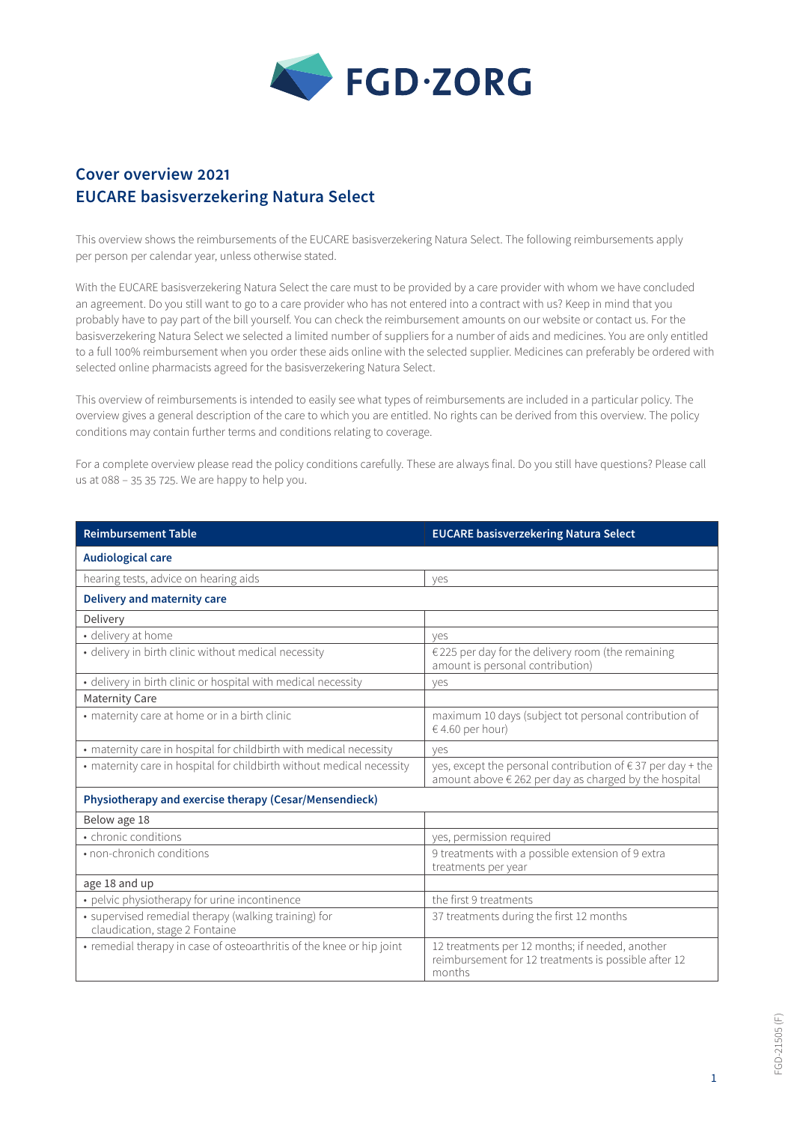

## **Cover overview 2021 EUCARE basisverzekering Natura Select**

This overview shows the reimbursements of the EUCARE basisverzekering Natura Select. The following reimbursements apply per person per calendar year, unless otherwise stated.

With the EUCARE basisverzekering Natura Select the care must to be provided by a care provider with whom we have concluded an agreement. Do you still want to go to a care provider who has not entered into a contract with us? Keep in mind that you probably have to pay part of the bill yourself. You can check the reimbursement amounts on our website or contact us. For the basisverzekering Natura Select we selected a limited number of suppliers for a number of aids and medicines. You are only entitled to a full 100% reimbursement when you order these aids online with the selected supplier. Medicines can preferably be ordered with selected online pharmacists agreed for the basisverzekering Natura Select.

This overview of reimbursements is intended to easily see what types of reimbursements are included in a particular policy. The overview gives a general description of the care to which you are entitled. No rights can be derived from this overview. The policy conditions may contain further terms and conditions relating to coverage.

For a complete overview please read the policy conditions carefully. These are always final. Do you still have questions? Please call us at 088 – 35 35 725. We are happy to help you.

| <b>Reimbursement Table</b>                                                             | <b>EUCARE basisverzekering Natura Select</b>                                                                                  |  |
|----------------------------------------------------------------------------------------|-------------------------------------------------------------------------------------------------------------------------------|--|
| <b>Audiological care</b>                                                               |                                                                                                                               |  |
| hearing tests, advice on hearing aids                                                  | ves                                                                                                                           |  |
| Delivery and maternity care                                                            |                                                                                                                               |  |
| Delivery                                                                               |                                                                                                                               |  |
| · delivery at home                                                                     | ves                                                                                                                           |  |
| · delivery in birth clinic without medical necessity                                   | €225 per day for the delivery room (the remaining<br>amount is personal contribution)                                         |  |
| · delivery in birth clinic or hospital with medical necessity                          | yes                                                                                                                           |  |
| <b>Maternity Care</b>                                                                  |                                                                                                                               |  |
| • maternity care at home or in a birth clinic                                          | maximum 10 days (subject tot personal contribution of<br>$€ 4.60$ per hour)                                                   |  |
| • maternity care in hospital for childbirth with medical necessity                     | ves                                                                                                                           |  |
| • maternity care in hospital for childbirth without medical necessity                  | yes, except the personal contribution of $\epsilon$ 37 per day + the<br>amount above € 262 per day as charged by the hospital |  |
| Physiotherapy and exercise therapy (Cesar/Mensendieck)                                 |                                                                                                                               |  |
| Below age 18                                                                           |                                                                                                                               |  |
| • chronic conditions                                                                   | yes, permission required                                                                                                      |  |
| • non-chronich conditions                                                              | 9 treatments with a possible extension of 9 extra<br>treatments per year                                                      |  |
| age 18 and up                                                                          |                                                                                                                               |  |
| • pelvic physiotherapy for urine incontinence                                          | the first 9 treatments                                                                                                        |  |
| • supervised remedial therapy (walking training) for<br>claudication, stage 2 Fontaine | 37 treatments during the first 12 months                                                                                      |  |
| • remedial therapy in case of osteoarthritis of the knee or hip joint                  | 12 treatments per 12 months; if needed, another<br>reimbursement for 12 treatments is possible after 12<br>months             |  |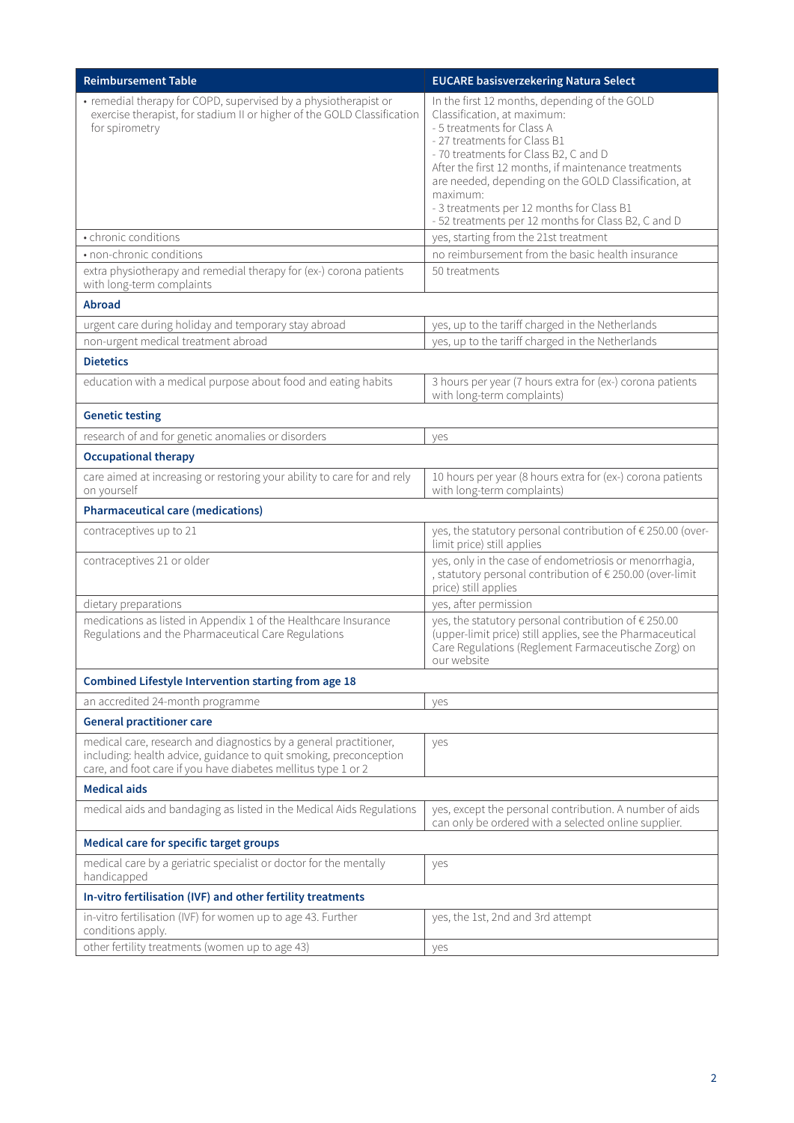| <b>Reimbursement Table</b>                                                                                                                                                                              | <b>EUCARE basisverzekering Natura Select</b>                                                                                                                                                                                                                                                                                                                                                                        |  |
|---------------------------------------------------------------------------------------------------------------------------------------------------------------------------------------------------------|---------------------------------------------------------------------------------------------------------------------------------------------------------------------------------------------------------------------------------------------------------------------------------------------------------------------------------------------------------------------------------------------------------------------|--|
| • remedial therapy for COPD, supervised by a physiotherapist or<br>exercise therapist, for stadium II or higher of the GOLD Classification<br>for spirometry                                            | In the first 12 months, depending of the GOLD<br>Classification, at maximum:<br>- 5 treatments for Class A<br>- 27 treatments for Class B1<br>- 70 treatments for Class B2, C and D<br>After the first 12 months, if maintenance treatments<br>are needed, depending on the GOLD Classification, at<br>maximum:<br>- 3 treatments per 12 months for Class B1<br>- 52 treatments per 12 months for Class B2, C and D |  |
| • chronic conditions                                                                                                                                                                                    | yes, starting from the 21st treatment                                                                                                                                                                                                                                                                                                                                                                               |  |
| • non-chronic conditions                                                                                                                                                                                | no reimbursement from the basic health insurance                                                                                                                                                                                                                                                                                                                                                                    |  |
| extra physiotherapy and remedial therapy for (ex-) corona patients<br>with long-term complaints                                                                                                         | 50 treatments                                                                                                                                                                                                                                                                                                                                                                                                       |  |
| <b>Abroad</b>                                                                                                                                                                                           |                                                                                                                                                                                                                                                                                                                                                                                                                     |  |
| urgent care during holiday and temporary stay abroad                                                                                                                                                    | yes, up to the tariff charged in the Netherlands                                                                                                                                                                                                                                                                                                                                                                    |  |
| non-urgent medical treatment abroad                                                                                                                                                                     | yes, up to the tariff charged in the Netherlands                                                                                                                                                                                                                                                                                                                                                                    |  |
| <b>Dietetics</b>                                                                                                                                                                                        |                                                                                                                                                                                                                                                                                                                                                                                                                     |  |
| education with a medical purpose about food and eating habits                                                                                                                                           | 3 hours per year (7 hours extra for (ex-) corona patients<br>with long-term complaints)                                                                                                                                                                                                                                                                                                                             |  |
| <b>Genetic testing</b>                                                                                                                                                                                  |                                                                                                                                                                                                                                                                                                                                                                                                                     |  |
| research of and for genetic anomalies or disorders                                                                                                                                                      | yes                                                                                                                                                                                                                                                                                                                                                                                                                 |  |
| <b>Occupational therapy</b>                                                                                                                                                                             |                                                                                                                                                                                                                                                                                                                                                                                                                     |  |
| care aimed at increasing or restoring your ability to care for and rely<br>on yourself                                                                                                                  | 10 hours per year (8 hours extra for (ex-) corona patients<br>with long-term complaints)                                                                                                                                                                                                                                                                                                                            |  |
| <b>Pharmaceutical care (medications)</b>                                                                                                                                                                |                                                                                                                                                                                                                                                                                                                                                                                                                     |  |
| contraceptives up to 21                                                                                                                                                                                 | yes, the statutory personal contribution of € 250.00 (over-<br>limit price) still applies                                                                                                                                                                                                                                                                                                                           |  |
| contraceptives 21 or older                                                                                                                                                                              | yes, only in the case of endometriosis or menorrhagia,<br>, statutory personal contribution of € 250.00 (over-limit<br>price) still applies                                                                                                                                                                                                                                                                         |  |
| dietary preparations                                                                                                                                                                                    | yes, after permission                                                                                                                                                                                                                                                                                                                                                                                               |  |
| medications as listed in Appendix 1 of the Healthcare Insurance<br>Regulations and the Pharmaceutical Care Regulations                                                                                  | yes, the statutory personal contribution of € 250.00<br>(upper-limit price) still applies, see the Pharmaceutical<br>Care Regulations (Reglement Farmaceutische Zorg) on<br>our website                                                                                                                                                                                                                             |  |
| Combined Lifestyle Intervention starting from age 18                                                                                                                                                    |                                                                                                                                                                                                                                                                                                                                                                                                                     |  |
| an accredited 24-month programme                                                                                                                                                                        | yes                                                                                                                                                                                                                                                                                                                                                                                                                 |  |
| <b>General practitioner care</b>                                                                                                                                                                        |                                                                                                                                                                                                                                                                                                                                                                                                                     |  |
| medical care, research and diagnostics by a general practitioner,<br>including: health advice, guidance to quit smoking, preconception<br>care, and foot care if you have diabetes mellitus type 1 or 2 | yes                                                                                                                                                                                                                                                                                                                                                                                                                 |  |
| <b>Medical aids</b>                                                                                                                                                                                     |                                                                                                                                                                                                                                                                                                                                                                                                                     |  |
| medical aids and bandaging as listed in the Medical Aids Regulations                                                                                                                                    | yes, except the personal contribution. A number of aids<br>can only be ordered with a selected online supplier.                                                                                                                                                                                                                                                                                                     |  |
| Medical care for specific target groups                                                                                                                                                                 |                                                                                                                                                                                                                                                                                                                                                                                                                     |  |
| medical care by a geriatric specialist or doctor for the mentally<br>handicapped                                                                                                                        | yes                                                                                                                                                                                                                                                                                                                                                                                                                 |  |
| In-vitro fertilisation (IVF) and other fertility treatments                                                                                                                                             |                                                                                                                                                                                                                                                                                                                                                                                                                     |  |
| in-vitro fertilisation (IVF) for women up to age 43. Further<br>conditions apply.                                                                                                                       | yes, the 1st, 2nd and 3rd attempt                                                                                                                                                                                                                                                                                                                                                                                   |  |
| other fertility treatments (women up to age 43)                                                                                                                                                         | yes                                                                                                                                                                                                                                                                                                                                                                                                                 |  |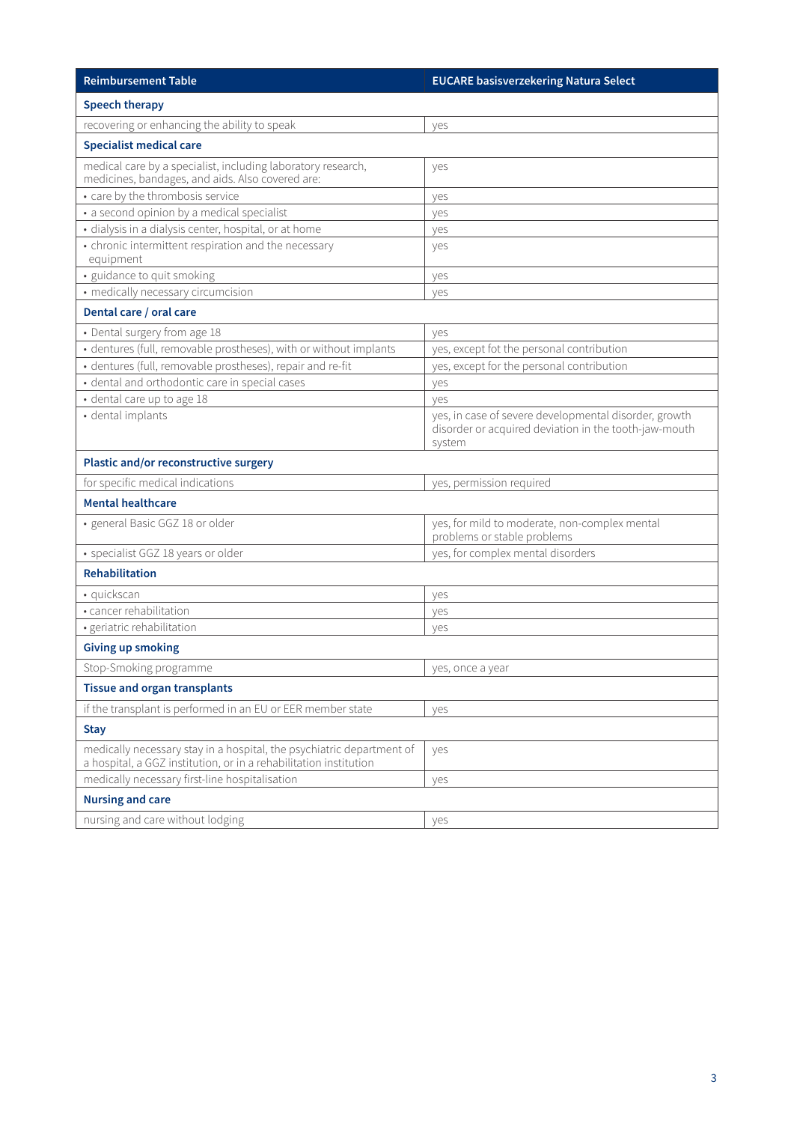| <b>Reimbursement Table</b>                                                                                                                 | <b>EUCARE basisverzekering Natura Select</b>                                                                             |  |
|--------------------------------------------------------------------------------------------------------------------------------------------|--------------------------------------------------------------------------------------------------------------------------|--|
| <b>Speech therapy</b>                                                                                                                      |                                                                                                                          |  |
| recovering or enhancing the ability to speak                                                                                               | yes                                                                                                                      |  |
| <b>Specialist medical care</b>                                                                                                             |                                                                                                                          |  |
| medical care by a specialist, including laboratory research,<br>medicines, bandages, and aids. Also covered are:                           | yes                                                                                                                      |  |
| • care by the thrombosis service                                                                                                           | yes                                                                                                                      |  |
| • a second opinion by a medical specialist                                                                                                 | yes                                                                                                                      |  |
| · dialysis in a dialysis center, hospital, or at home                                                                                      | yes                                                                                                                      |  |
| • chronic intermittent respiration and the necessary<br>equipment                                                                          | yes                                                                                                                      |  |
| · guidance to quit smoking                                                                                                                 | yes                                                                                                                      |  |
| • medically necessary circumcision                                                                                                         | yes                                                                                                                      |  |
| Dental care / oral care                                                                                                                    |                                                                                                                          |  |
| • Dental surgery from age 18                                                                                                               | yes                                                                                                                      |  |
| · dentures (full, removable prostheses), with or without implants                                                                          | yes, except fot the personal contribution                                                                                |  |
| · dentures (full, removable prostheses), repair and re-fit                                                                                 | yes, except for the personal contribution                                                                                |  |
| · dental and orthodontic care in special cases                                                                                             | yes                                                                                                                      |  |
| · dental care up to age 18                                                                                                                 | ves                                                                                                                      |  |
| · dental implants                                                                                                                          | yes, in case of severe developmental disorder, growth<br>disorder or acquired deviation in the tooth-jaw-mouth<br>system |  |
| Plastic and/or reconstructive surgery                                                                                                      |                                                                                                                          |  |
| for specific medical indications                                                                                                           | yes, permission required                                                                                                 |  |
| <b>Mental healthcare</b>                                                                                                                   |                                                                                                                          |  |
| · general Basic GGZ 18 or older                                                                                                            | yes, for mild to moderate, non-complex mental<br>problems or stable problems                                             |  |
| • specialist GGZ 18 years or older                                                                                                         | yes, for complex mental disorders                                                                                        |  |
| <b>Rehabilitation</b>                                                                                                                      |                                                                                                                          |  |
| · quickscan                                                                                                                                | yes                                                                                                                      |  |
| • cancer rehabilitation                                                                                                                    | yes                                                                                                                      |  |
| · geriatric rehabilitation                                                                                                                 | yes                                                                                                                      |  |
| <b>Giving up smoking</b>                                                                                                                   |                                                                                                                          |  |
| Stop-Smoking programme                                                                                                                     | yes, once a year                                                                                                         |  |
| <b>Tissue and organ transplants</b>                                                                                                        |                                                                                                                          |  |
| if the transplant is performed in an EU or EER member state                                                                                | yes                                                                                                                      |  |
| <b>Stay</b>                                                                                                                                |                                                                                                                          |  |
| medically necessary stay in a hospital, the psychiatric department of<br>a hospital, a GGZ institution, or in a rehabilitation institution | yes                                                                                                                      |  |
| medically necessary first-line hospitalisation                                                                                             | yes                                                                                                                      |  |
| <b>Nursing and care</b>                                                                                                                    |                                                                                                                          |  |
| nursing and care without lodging                                                                                                           | yes                                                                                                                      |  |